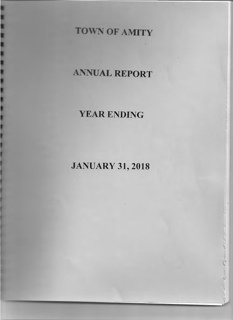# **TOWN OF AMITY**

# ANNUAL REPORT

# YEAR ENDING

# JANUARY 31, 2018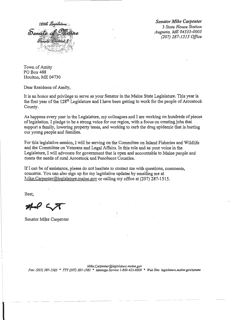

*--··--r-*

*Senator Mike Carpenter 3 State House Station Augusta, ME 04333-0003 (207) 287-1515 Office* 

Town of Amity PO Box 488 Houlton, ME 04730

Dear Residents of Amity,

It is an honor and privilege to serve as your Senator in the Maine State Legislature. This year is the first year of the 128<sup>th</sup> Legislature and I have been getting to work for the people of Aroostook County.

As happens every year in the Legislature, my colleagues and I are working on hundreds of pieces of legislation. I pledge to be a strong voice for our region, with a focus on creating jobs that support a family, lowering property taxes, and working to curb the drug epidemic that is hurting our young people and families.

For this legislative session, I will be serving on the Committee on Inland Fisheries and Wildlife and the Committee on Veterans and Legal Affairs. In this role and as your voice in the Legislature, I will advocate for government that is open and accountable to Maine people and meets the needs of rural Aroostook and Penobscot Counties.

If I can be of assistance, please do not hesitate to contact me with questions, comments, concerns. You can also sign up for my legislative updates by emailing me at Mike.Carpenter@legislature.maine.gov or calling my office at  $(207)$  287-1515.

Best,

Senator Mike Carpenter

*Mike. Carpenter@legislature. maine.gov Fax: (207) 287-1585* \* *TTY (207) 287-1583* \* *Message Service 1-800-423-6900* \* *Web Site: /egislature.maine.govlsenate*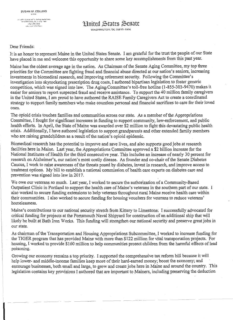,\' ,•i)ifo • :•:l.. h t•! •••''' \. •)1 •'1•;~ 0)1,.1!!,1111'" ':• ·.t~·'\ t>.::."OT •t •• O I.. t.~fl o•'t,l.t

Huited States Senate

#### Dear Friends:

It is an honor to represent Maine in the United States Senate. I am grateful for the trust the people of our State have placed in me and welcome this opportunity to share some key accomplishments from this past year.

Maine has the oldest average age in the nation. As Chairman of the Senate Aging Committee, my top three priorities for the Committee are fighting fraud and financial abuse directed at our nation's seniors, increasing investments in biomedical research, and improving retirement security. Following the Committee's investigation into skyrocketing prescription drug costs, I authored bipartisan legislation to foster generic competition, which was signed into law. The Aging Committee's toll-free hotline (1-855-303-9470) makes it easier for seniors to report suspected fraud and receive assistance. To support the 40 million family caregivers in the United States, I am proud to have authored the RAISE Family Caregivers Act to create a coordinated strategy to support family members who make countless personal and financial sacrifices to care for their loved ones.

The opioid crisis touches families and communities across our state. As a member of the Appropriations Committee, I fought for significant increases in funding to support community, law-enforcement, and public health efforts. In April, the State of Maine was awarded over \$2 million to fight this devastating public health crisis. Additionally, I have authored legislation to support grandparents and other extended family members who are raising grandchildren as a result of the nation's opioid epidemic.

Biomedical research has the potential to improve and save lives, and also supports good jobs at research facilities here in Maine. Last year, the Appropriations Committee approved a \$2 billion increase for the National Institutes of Health for the third consecutive year. This includes an increase of nearly 30 percent for research on Alzheimer's, our nation's most costly disease. As founder and co-chair of the Senate Diabetes Caucus, I work to raise awareness of the threats posed by diabetes, invest in research, and improve access to treatment options. My bill to establish a national commission of health care experts on diabetes care and prevention was signed into law in 2017.

We owe our veterans so much. Last year, I worked to secure the authorization of a Community-Based Outpatient Clinic in Portland to support the health care of Maine's veterans in the southern part of our state. I also worked to secure funding extensions to help veterans throughout rural Maine receive health care within their communities. I also worked to secure funding for housing vouchers for veterans to reduce veterans' homelessness.

Maine's contributions to our national security stretch from Kittery to Limestone; I successfully advocated for critical funding for projects at the Portsmouth Naval Shipyard for construction of an additional ship that will likely be built at Bath Iron Works. This funding will strengthen our national security and preserve great jobs in our state.

As chairman of the Transportation and Housing Appropriations Subcommittee, I worked to increase funding for the TIGER program that has provided Maine with more than \$122 million for vital transportation projects. ·For housing, I worked to provide \$160 million to help communities protect children from the harmful effects of lead poisoning.

Growing our economy remains a top priority. I supported the comprehensive tax reform bill because it will help lower- and middle-income families keep more of their hard-earned money; boost the economy; and encourage businesses, both small and large, to grow and create jobs here in Maine and around the country. This legislation contains key provisions I authored that are important to Mainers, including preserving the deduction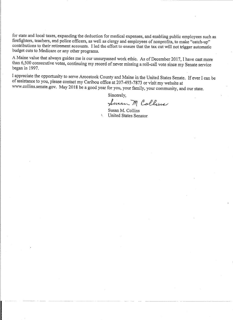for state and local taxes, expanding the deduction for medical expenses, and enabling public employees such as firefighters, teaehers, and police officers, as well as clergy and employees of nonprofits, to make "catch-up" contributions to their retirement accounts. I led the effort to ensure that the tax cut will not trigger automatic budget cuts to Medicare or any other programs.

A Maine value that always guides me is our unsurpassed work ethic. As of December 2017, I have cast more than 6,500 consecutive votes, continuing my record of never missing a roll-call vote since my Senate service began in 1997.

I appreciate the opportunity to serve Aroostook County and Maine in the United States Senate. If ever I can be of assistance to you, please contact my Caribou office at 207-493-7873 or visit my website at www.collins.senate.gov. May 2018 be a good year for you, your family, your community, and our state.

Sincerely,

Susan M Collins

Susan M. Collins United States Senator.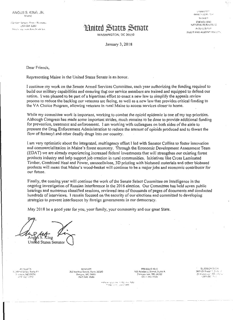ANGUS S. KING, JR.  $N$  -  $N$   $E$ 

**153 HAPT SENATE OFFICE BUILDING** 1021224-6344 .<br>Selaite intro-aczee Kong (maeth 190

# **Hunited States Senate**

WASHINGTON, DC 20510

LOMMITTEY ARMIO処拠でド наяжет i::Nf:Fit:;·f t~ NATURAL RESOURCES t-~ ru t.::\_;~ \_~-;,\_:r EULES AND AOMINISTRATION

January 3, 2018

Dear Friends,

Representing Maine in the United States Senate is an honor.

l continue my work on the Senate Armed Services Committee, each year authorizing the funding required to build our military capabilities and ensuring that our service members are trained and equipped to defend our nation. I was pleased to be part of a bipartisan effort to enact a new law to simplify the appeals review process to reduce the backlog our veterans arc facing, as well as a new law that provides critical funding to the VA Choice Program, allowing veterans in rural Maine to access services closer to home.

While my committee work is important, working to combat the opioid epidemic is one of my top priorities. Although Congress has made some important strides, much remains to be done to provide additional funding for prevention, treatment and enforcement. I am working with colleagues on both sides of the aisle to pressure the Drug Enforcement Administration to reduce the amount of opioids produced and to thwart the flow of fentanyl and other deadly drugs into our country.

I am very optimistic about the integrated, multiagency effort I led with Senator Collins to foster innovation and commercialization in Maine's forest economy. Through the Economic Development Assessment Team (EDA T) we are already experiencing increased federal investments that will strengthen our existing forest products industry and help supp01t job creation in rural communities. Initiatives like Cross Laminated Timber, Combined Heat and Power, nanocellulose, 3D printing with biobased materials and other biobased products will mean that Maine's wood-basket will continue to be a major jobs and economic contributor for our future.

Finally, the coming year will continue the work of the Senate Select Committee on Intelligence in the ongoing investigation of Russian interference in the 2016 e lection. Our Committee has held seven public hearings and numerous classified sessions, reviewed tens of thousands of pages of documents and conducted hundreds of interviews. I remain focused on the security of our elections and committed to developing: strategies to prevent interference by foreign governments in our democracy.

May 2018 be a good year for you, your family, your community and our great State.

King kS. Ang United States Senator

j:;.!\_:<;;.;~; ~·,;,.  $1$  , labeld three,  $\frac{E}{2}$  with  $\frac{E}{2}$  $+17$  627 +112

I

**BANGOR** ~ 202 Harbve Street, Stree 20350<br>~ Sartjor, MT (2440) (202) 945-3008

PRESOUE ISLE  $169$  Academy Street, Suite A. w\*h }IHA hile: 1508-04708<br>!1701-1764-5124

 $$L$  ANBGE/JUCE) v:: 383 Route: 1-3-cf... in:<br>| dr.amera.g = ML 041<br>| gams2: - 1- :

" to Market eat and the " L. PM of the " 1990 *( •. , ...* t"," ' • ': ; ·.,.: .. i : :•,)'PI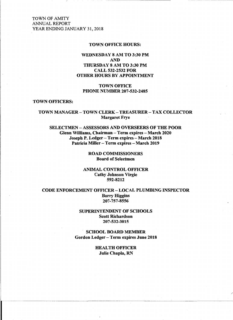#### TOWN OFFICE HOURS:

## WEDNESDAY 8 AM TO 3:30PM AND THURSDAY 8 AM TO 3:30PM CALL 532-2532 FOR OTHER HOURS BY APPOINTMENT

TOWN OFFICE PHONE NUMBER 207-532-2485

#### TOWN OFFICERS:

#### TOWN MANAGER- TOWN CLERK- TREASURER-TAX COLLECTOR Margaret Frye

SELECTMEN- ASSESSORS AND OVERSEERS OF THE POOR Glenn Williams, Chairman- Term expires- March 2020 Joseph P. Ledger- Term expires- March 2018 Patricia Miller - Term expires - March 2019

#### ROAD COMMISSIONERS Board of Selectmen

#### ANIMAL CONTROL OFFICER Cathy Johnson Virgie 592-8212

CODE ENFORCEMENT OFFICER- LOCAL PLUMBING INSPECTOR Barry Higgins 207-757-8556

#### SUPERINTENDENT OF SCHOOLS Scott Richardson 207-532-3015

SCHOOL BOARD MEMBER Gordon Ledger- Term expires June 2018

> HEALTH OFFICER Julie Chapla, RN

> > /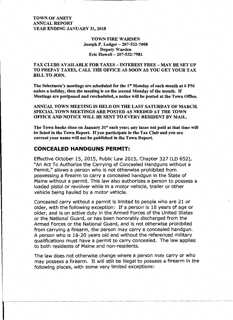## TOWN FIRE WARDEN Joseph P. Ledger- 207-532-7008 Deputy Warden Eric Howell- 207-532-7981

# TAX CLUBS AVAILABLE FOR TAXES- INTEREST FREE- MAY BE SET UP TO PREPAY TAXES, CALL THE OFFICE AS SOON AS YOU GET YOUR TAX BILL TO JOIN.

The Selectmen's meetings are scheduled for the 1st Monday of each month at 6 PM unless a holiday, then the meeting is on the second Monday of the month. If Meetings are postponed and rescheduled, a notice will be posted at the Town Office.

ANNUAL TOWN MEETING IS HELD ON THE LAST SATURDAY OF MARCH. SPECIAL TOWN MEETINGS ARE POSTED AS NEEDED AT THE TOWN OFFICE AND NOTICE WILL BE SENT TO EVERY RESIDENT BY MAIL.

The Town books close on January 31<sup>st</sup> each year; any taxes not paid at that time will be listed in the Town Report. If you participate in the Tax Club and you are current your name will not be published in the Town Report.

## **CONCEALED HANDGUNS PERMIT:**

I

Effective October 15, 2015, Public Law 2015, Chapter 327 (LD 652), "An Act To Authorize the Carrying of Concealed Handguns without a Permit," allows a person who is not otherwise prohibited from possessing a firearm to carry a concealed handgun in the State of Maine without a permit. This law also authorizes a person to possess a loaded pistol or revolver while in a motor vehicle, trailer or other vehicle being hauled by a motor vehicle.

Concealed carry without a permit is limited to people who are 21 or older, with the following exception: If a person is 18 years of age or older, and is on active duty in the Armed Forces of the United States or the National Guard, or has been honorably discharged from the Armed Forces or the National Guard, and is not otherwise prohibited from carrying a firearm, the person may carry a concealed handgun. A person who is 18-20 years old and without the referenced military qualifications must have a permit to carry concealed. The law applies to both residents of Maine and non-residents.

The law does not otherwise change where a person may carry or who may possess a firearm. It will still be illegal to possess a firearm in the following places, with some very limited exceptions: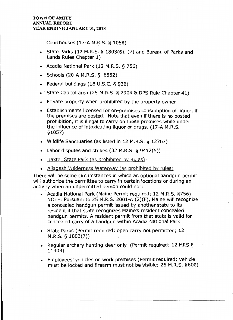Courthouses (17-A M.R.S. § 1058)

- State Parks (12 M.R.S. § 1803(6), (7) and Bureau of Parks and Lands Rules Chapter 1)
- Acadia National Park (12 M.R.S. § 756)
- Schools (20-A M.R.S. § 6552)
- Federal buildings (18 U.S.C. § 930)
- State Capitol area (25 M.R.S. § 2904 & DPS Rule Chapter 41)
- Private property when prohibited by the property owner
- Establishments licensed for on-premises consumption of liquor, if the premises are posted. Note that even if there is no posted prohibition, it is illegal to carry on these premises while under the influence of intoxicating liquor or drugs. (17-A M.R.S. §1057)
- Wildlife Sanctuaries (as listed in 12 M.R.S. § 12707)
- Labor disputes and strikes (32 M.R.S. § 9412(5))
- Baxter State Park {as prohibited by Rules)
- Allaqash Wilderness Waterway (as prohibited by rules)

There will be some circumstances in which an optional handgun permit will authorize the permittee to carry in certain locations or during an activity when an unpermitted person could not:

- Acadia National Park (Maine Permit required; 12 M.R.S. §756) NOTE: Pursuant to 25 M.R.S. 2001-A (2)(F), Maine will recognize a concealed handgun permit issued by another state to its resident if that state recognizes Maine's resident concealed handgun permits. A resident permit from that state is valid for concealed carry of a handgun within Acadia National Park
- State Parks (Permit required; open carry not permitted; 12 M.R.S. § 1803(7))
- Regular archery hunting-deer only (Permit required; 12 MRS § 11403)
- Employees' vehicles on work premises (Permit required; vehicle must be locked and firearm must not be Visible; 26 M.R.S. §600)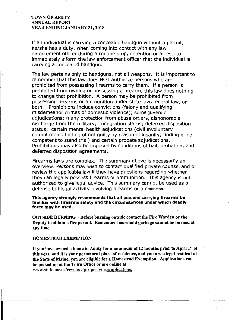If an individual is carrying a concealed handgun without a permit, he/she has a duty, when coming into contact with any law enforcement officer during a routine stop, detention or arrest, to immediately inform the law enforcement officer that the individual is carrying a concealed handgun.

The law pertains only to handguns, not all weapons. It is important to remember that this law does NOT authorize persons who are prohibited from possessing firearms to carry them. If a person is prohibited from owning or possessing a firearm, this law does nothing to change that prohibition. A person may be prohibited from possessing firearms or ammunition under state law, federal law, or both. Prohibitions include convictions (felony and qualifying misdemeanor crimes of domestic violence); some juvenile adjudications; many protection from abuse orders, dishonorable discharge from the military; immigration status; deferred disposition status; certain mental health adjudications (civil involuntary commitment; finding of not guilty by reason of insanity; finding of not competent to stand trial) and certain probate adjudications. Prohibitions may also be imposed by conditions of bail, probation, and deferred disposition agreements.

Firearms laws are complex. The summary above is necessarily an overview. Persons may wish to contact qualified private counsel and or review the applicable law if they have questions regarding whether they can legally possess firearms or ammunition. This agency is not authorized to give legal advice. This summary cannot be used as a defense to illegal activity involving firearms or ammunition.

This agency strongly recommends that all persons carrying firearms be familiar with firearms safety and the circumstances under which deadly force may be used.

OUTSIDE BURNING- Before burning outside contact the Fire Warden or the Deputy to obtain a fire permit. Remember household garbage cannot be burned at any time.

#### HOMESTEAD EXEMPTION

If you have owned a home in Amity for a minimum of 12 months prior to April  $1<sup>st</sup>$  of this year, and it is your permanent place of residence, and you are a legal resident of the State of Maine, you are eligible for a Homestead Exemption. Applications can be picked up at the Town Office or are online at www.state.me.us/revenue/propertytax/applications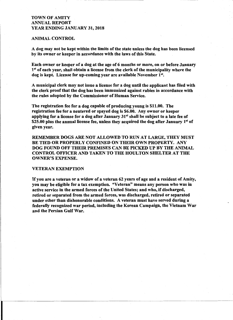#### ANIMAL CONTROL

A dog may not be kept within the limits of the state unless the dog has been licensed by its owner or keeper in accordance with the laws of this State.

Each owner or keeper of a dog at the age of 6 months or more, on or before January 1<sup>st</sup> of each year, shall obtain a license from the clerk of the municipality where the dog is kept. License for up-coming year are available November  $1^{st}$ .

A municipal clerk may not issue a license for a dog until the applicant has filed with the clerk proof that the dog has been immunized against rabies in accordance with the rules adopted by the Commissioner of Human Service.

The registration fee for a dog capable of producing young is \$11.00. The registration fee for a neutered or spayed dog is \$6.00. Any owner or keeper applying for a license for a dog after January  $31<sup>st</sup>$  shall be subject to a late fee of \$25.00 plus the annual license fee, unless they acquired the dog after January  $1<sup>st</sup>$  of given year.

REMEMBER DOGS ARE NOT ALLOWED TO RUN AT LARGE, THEY MUST BE TIED OR PROPERLY CONFINED ON THEIR OWN PROPERTY. ANY DOG FOUND OFF THEIR PREMISES CAN BE PICKED UP BY THE ANIMAL CONTROL OFFICER AND TAKEN TO THE HOULTON SHELTER AT THE OWNER'S EXPENSE.

#### VETERAN EXEMPTION

If you are a veteran or a widow of a veteran 62 years of age and a resident of Amity, you may be eligible for a tax exemption. "Veteran" means any person who was in active service in the armed forces of the United States; and who, if discharged, retired or separated from the armed forces, was discharged, retired or separated under other than dishonorable conditions. A veteran must have served during a federally recognized war period, including the Korean Campaign, the Vietnam War and the Persian Gulf War.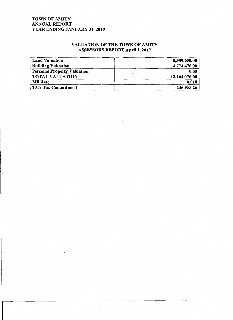# VALUATION OF THE TOWN OF AMITY ASSESSORS REPORT April 1, 2017

| <b>Land Valuation</b>              | 8,389,600.00  |
|------------------------------------|---------------|
| <b>Building Valuation</b>          | 4,774,470.00  |
| <b>Personal Property Valuation</b> | 0.00          |
| <b>TOTAL VALUATION</b>             | 13,164,070.00 |
| <b>Mil Rate</b>                    | 0.018         |
| 2017 Tax Commitment                | 236,953.26    |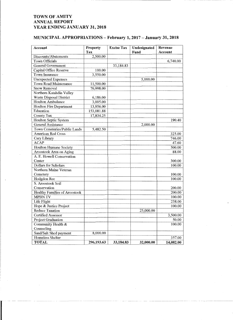$\begin{bmatrix} 1 & 1 & 1 \\ 1 & 1 & 1 \\ 1 & 1 & 1 \end{bmatrix}$ 

\_\_

# MUNICIPAL APPROPRIATIONS- February 1, 2017- January 31, 2018

| Account                       | Property   | <b>Excise Tax</b> | Undesignated | Revenue   |
|-------------------------------|------------|-------------------|--------------|-----------|
|                               | Tax        |                   | Fund         | Account   |
| Discounts/Abatements          | 2,500.00   |                   |              |           |
| Town Officials                |            |                   |              | 6,740.00  |
| General Government            |            | 33,184.83         |              |           |
| Capital Office Reserve        | 100.00     |                   |              |           |
| <b>Town Insurance</b>         | 3,550.00   |                   |              |           |
| <b>Unexpected Expenses</b>    |            |                   | 5,000.00     |           |
| <b>Town Road Maintenance</b>  | 11,500.00  |                   |              |           |
| <b>Snow Removal</b>           | 70,998.00  |                   |              |           |
| Northern Katahdin Valley      |            |                   |              |           |
| Waste Disposal District       | 6,186.00   |                   |              |           |
| <b>Houlton Ambulance</b>      | 3,005.00   |                   |              |           |
| Houlton Fire Department       | 13,956.00  |                   |              |           |
| Education                     | 153,081.88 |                   |              |           |
| County Tax                    | 17,834.25  |                   |              |           |
| Houlton Septic System         |            |                   |              | 190.40    |
| <b>General Assistance</b>     |            |                   | 2,000.00     |           |
| Town Cemeteries/Public Lands  | 5,482.50   |                   |              |           |
| <b>American Red Cross</b>     |            |                   |              | 325.00    |
| Cary Library                  |            |                   |              | 746.00    |
| <b>ACAP</b>                   |            |                   |              | 47.60     |
| Houlton Humane Society        |            |                   |              | 500.00    |
| Aroostook Area on Aging       |            |                   |              | 88.00     |
| A. E. Howell Conservation     |            |                   |              |           |
| Center                        |            |                   |              | 300.00    |
| Dollars for Scholars          |            |                   |              | 100.00    |
| Northern Maine Veteran        |            |                   |              |           |
| Cemetery                      |            |                   |              | 100.00    |
| Hodgdon Rec                   |            |                   |              | 100.00    |
| S. Aroostook Soil             |            |                   |              |           |
| Conservation                  |            |                   |              | 200.00    |
| Healthy Families of Aroostook |            |                   |              | 200.00    |
| <b>MPBN TV</b>                |            |                   |              | 100.00    |
| Life Flight                   |            |                   |              | 238.00    |
| Hope & Justice Project        |            |                   |              | 100.00    |
| <b>Reduce Taxation</b>        |            |                   | 25,000.00    |           |
| Certified Assessor            |            |                   |              | 3,500.00  |
| Project Graduation            |            |                   |              | 50.00     |
| Community Health &            |            |                   |              | 100.00    |
| Counseling                    |            |                   |              |           |
| Sand/Salt Shed payment        | 8,000.00   |                   |              |           |
| Homeless Shelter              |            |                   |              | 357.00    |
| <b>TOTAL</b>                  | 296,193.63 | 33,184.83         | 32,000.00    | 14,082.00 |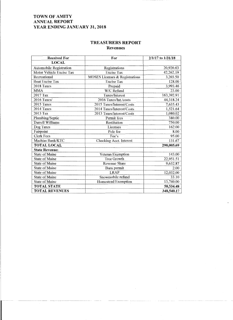$~\cdot$ 

# **TREASURERS REPORT Revenues**

| <b>Received For</b>            | For                            | 2/1/17 to 1/31/18 |
|--------------------------------|--------------------------------|-------------------|
| <b>LOCAL</b>                   |                                |                   |
| <b>Automobile Registration</b> | Registrations                  | 20,920.63         |
| Motor Vehicle Excise Tax       | <b>Excise Tax</b>              | 42,262.19         |
| Recreational                   | MOSES Licenses & Registrations | 3,203.50          |
| <b>Boat Excise Tax</b>         | Excise Tax                     | 128.00            |
| 2018 Taxes                     | Prepaid                        | 3,993.46          |
| <b>MMA</b>                     | W/C Refund                     | 23.00             |
| 2017 Tax                       | Taxes/Interest                 | 163,392.91        |
| 2016 Taxes/                    | 2016 Taxes/Int./costs          | 44,318.24         |
| 2015 Taxes                     | 2015 Taxes/Interest/Costs      | 7,635.43          |
| 2014 Taxes                     | 2014 Taxes/Interest/Costs      | 1,521.64          |
| 2013 Tax                       | 2013 Taxes/interest/Costs      | 1,080.02          |
| Plumbing/Septic                | Permit fees                    | 380.00            |
| Darrell Williams               | Restitution                    | 750.00            |
| Dog Taxes                      | Licenses                       | 162.00            |
| Fairpoint                      | Pole fee                       | 8.00              |
| <b>Clerk Fees</b>              | Fee's                          | 95.00             |
| Machias Bank/KTC               | Checking Acct. Interest        | 131.67            |
| <b>TOTAL LOCAL</b>             |                                | 290,005.69        |
| <b>State Revenue:</b>          |                                |                   |
| <b>State of Maine</b>          | Veteran Exemption              | 143.00            |
| <b>State of Maine</b>          | <b>Tree Growth</b>             | 22,951.51         |
| <b>State of Maine</b>          | <b>Revenue Share</b>           | 9,632.87          |
| <b>State of Maine</b>          | Burn permit                    | 2.00              |
| <b>State of Maine</b>          | <b>LRAP</b>                    | 12,032.00         |
| <b>State of Maine</b>          | Snowmobile refund              | 33.10             |
| <b>State of Maine</b>          | Homestead Exemption            | 13,740.00         |
| <b>TOTAL STATE</b>             |                                | 58,534.48         |
| <b>TOTAL REVENUES</b>          |                                | 348,540.17        |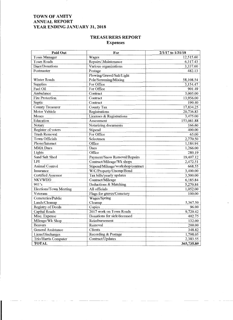# **TREASURERS REPORT Expenses**

| Paid Out                  | For                               | 2/1/17 to 1/31/18 |
|---------------------------|-----------------------------------|-------------------|
| <b>Town Manager</b>       | Wages                             | 12,515.60         |
| <b>Town Roads</b>         | Repairs/.Maintenance              | 6,317.43          |
| Dues/Donations            | Various organizations             | 3,337.60          |
| Postmaster                | Postage                           | 482.13            |
|                           | Plowing/Gravel/Salt/Light         |                   |
| Winter Roads              | Pole/Screening/Mixing             | 58,108.54         |
| Supplies                  | For Office                        | 3,154.47          |
| Fuel Oil                  | For Office                        | 901.49            |
| Ambulance                 | Contract                          | 3,005.00          |
| <b>Fire Protection</b>    | Contract                          | 13,956.00         |
| Septic                    | Contract                          | 190.40            |
| <b>County Treasurer</b>   | <b>County Tax</b>                 | 17,834.25         |
| <b>Motor Vehicle</b>      | Registrations                     | 20,736.83         |
| Moses                     | Licenses & Registrations          | 3,475.00          |
| Education                 | Assessment                        | 153,081.88        |
| Notary                    | Notarizing documents              | 166.60            |
| Register of voters        | Stipend                           | 400.00            |
| <b>Trash Removal</b>      | For Office                        | 65.00             |
| <b>Town Officials</b>     | Selectmen                         | 2,770.50          |
| Phone/Internet            | Office                            | 1,184.94          |
| <b>MMA</b> Dues           | <b>Dues</b>                       | 1,266.00          |
| Lights                    | Office                            | 280.19            |
| Sand Salt Shed            | Payment/Snow Removal/Repairs      | 19,407.12         |
| LPI                       | Contract/Mileage/Wk shops         | 2,472.51          |
| <b>Animal Control</b>     | Stipend/Mileage/workshop/contract | 668.55            |
| Insurance                 | W/C/Property/Unemp/Bond           | 3,400.00          |
| <b>Certified Assessor</b> | Tax bills/yearly updates          | 3,500.00          |
| <b>NKVWDD</b>             | Contract/Mileage                  | 6,185.84          |
| 941's                     | Deductions & Matching             | 5,270.84          |
| Elections/Town Meeting    | All officials                     | 1,052.00          |
| Veterans                  | Flags for graves/Cemetery         | 100.00            |
| Cemeteries/Public         | Wages/Spring                      |                   |
| Lands/Cleanup             | Cleanup                           | 5,367.50          |
| <b>Registry of Deeds</b>  | Copies                            | 96.00             |
| <b>Capital Roads</b>      | 2017 work on Town Roads           | 9,720.42          |
| Misc. Expense             | Donations for sick/deceased       | 402.75            |
| Mileage/Wk Shop           | Reimbursement                     | 132.00            |
| <b>Beavers</b>            | Removal                           | 200.00            |
| <b>General Assistance</b> | Clients                           | 348.82            |
| Liens/Discharges          | Recording & Postage               | 1,798.05          |
| Trio/Harris Computer      | Contract/Updates                  | 2,383.55          |
| <b>TOTAL</b>              |                                   | 365,735.80        |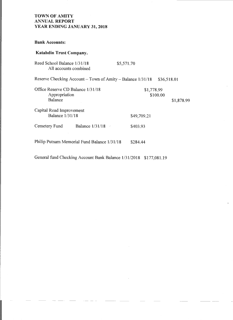**Bank Accounts:** 

# **Katahdin Trust Company.**

| Reed School Balance 1/31/18                        | All accounts combined                                      | \$5,571.70  |             |
|----------------------------------------------------|------------------------------------------------------------|-------------|-------------|
|                                                    | Reserve Checking Account – Town of Amity – Balance 1/31/18 |             | \$36,518.01 |
| Office Reserve CD Balance 1/31/18<br>Appropriation |                                                            | \$1,778.99  | \$100.00    |
| <b>Balance</b>                                     |                                                            |             | \$1,878.99  |
| Capital Road Improvement                           |                                                            |             |             |
| <b>Balance 1/31/18</b>                             |                                                            | \$49,709.21 |             |
| Cemetery Fund                                      | <b>Balance 1/31/18</b>                                     | \$403.93    |             |
|                                                    | Philip Putnam Memorial Fund Balance 1/31/18                | \$284.44    |             |

General fund Checking Account Bank Balance 1/31/2018 \$177,081.19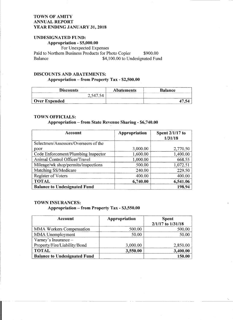# UNDESIGNATED FUND: Appropriation - \$5,000.00

For Unexpected Expenses Paid to Northern Business Products for Photo Copier \$900.00 Balance \$4,100.00 to Undesignated Fund

# DISCOUNTS AND ABATEMENTS: Appropriation - from Property Tax - \$2,500.00

| <b>Discounts</b>     | <b>Abatements</b> | <b>Balance</b> |
|----------------------|-------------------|----------------|
| $\mathbf{A}$         |                   |                |
| <b>Over Expended</b> |                   |                |

#### TOWN OFFICIALS:

# Appropriation - from State Revenue Sharing- \$6,740.00

| <b>Account</b>                       | <b>Appropriation</b> | Spent 2/1/17 to<br>1/31/18 |
|--------------------------------------|----------------------|----------------------------|
| Selectmen/Assessors/Overseers of the |                      |                            |
| poor                                 | 3,000.00             | 2,770.50                   |
| Code Enforcement/Plumbing Inspector  | 1,600.00             | 1,400.00                   |
| Animal Control Officer/Travel        | 1,000.00             | 668.55                     |
| Mileage/wk shop/permits/inspections  | 500.00               | 1,072.51                   |
| Matching SS/Medicare                 | 240.00               | 229.50                     |
| Register of Voters                   | 400.00               | 400.00                     |
| <b>TOTAL</b>                         | 6,740.00             | 6,541.06                   |
| <b>Balance to Undesignated Fund</b>  |                      | 198.94                     |

#### TOWN INSURANCES:

# Appropriation - from Property Tax - \$3,550.00

| <b>Account</b>                      | Appropriation | <b>Spent</b><br>2/1/17 to 1/31/18 |
|-------------------------------------|---------------|-----------------------------------|
| MMA Workers Compensation            | 500.00        | 500.00                            |
| MMA Unemployment                    | 50.00         | 50.00                             |
| Varney's Insurance -                |               |                                   |
| Property/Fire/Liability/Bond        | 3,000.00      | 2,850.00                          |
| <b>TOTAL</b>                        | 3,550.00      | 3,400.00                          |
| <b>Balance to Undesignated Fund</b> |               | 150.00                            |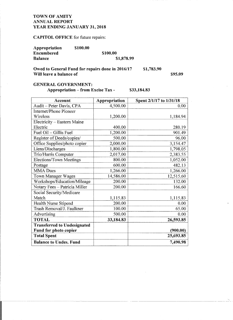-- --- ------,-----

# CAPITOL OFFICE for future repairs:

| Appropriation  | \$100.00 |            |
|----------------|----------|------------|
| Encumbered     |          | \$100.00   |
| <b>Balance</b> |          | \$1,878.99 |

Owed to General Fund for repairs done in 2016/17 Will leave a balance of \$1,783.90

\$95.09

# GENERAL GOVERNMENT:

Appropriation – from Excise Tax - \$33,184.83

| <b>Account</b>                     | Appropriation | Spent 2/1/17 to 1/31/18 |
|------------------------------------|---------------|-------------------------|
| Audit - Peter Davis, CPA           | 4,500.00      | 0.00                    |
| <b>Internet/Phone Pioneer</b>      |               |                         |
| Wireless                           | 1,200.00      | 1,184.94                |
| Electricity - Eastern Maine        |               |                         |
| Electric                           | 400.00        | 280.19                  |
| Fuel Oil - Gillis Fuel             | 1,200.00      | 901.49                  |
| Register of Deeds/copies/          | 500.00        | 96.00                   |
| Office Supplies/photo copier       | 2,000.00      | 3,154.47                |
| Liens/Discharges                   | 1,800.00      | 1,798.05                |
| Trio/Harris Computer               | 2,017.00      | 2,383.55                |
| <b>Elections/Town Meetings</b>     | 800.00        | 1,052.00                |
| Postage                            | 600.00        | 482.13                  |
| <b>MMA</b> Dues                    | 1,266.00      | 1,266.00                |
| <b>Town Manager Wages</b>          | 14,586.00     | 12,515.60               |
| Workshops/Education/Mileage        | 200.00        | 132.00                  |
| Notary Fees - Patricia Miller      | 200.00        | 166.60                  |
| Social Security/Medicare           |               |                         |
| Match                              | 1,115.83      | 1,115.83                |
| Health Nurse Stipend               | 200.00        | 0.00                    |
| Trash Removal/J. Faulkner          | 100.00        | 65.00                   |
| Advertising                        | 500.00        | 0.00                    |
| <b>TOTAL</b>                       | 33,184.83     | 26,593.85               |
| <b>Transferred to Undesignated</b> |               |                         |
| Fund for photo copier              |               | (900.00)                |
| <b>Total Spent</b>                 |               | 25,693.85               |
| <b>Balance to Undes. Fund</b>      |               | 7,490.98                |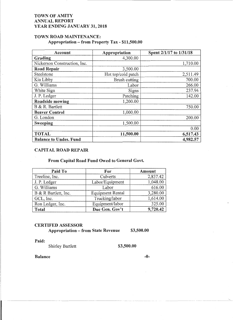# TOWN ROAD MAINTENANCE: Appropriation- from Property Tax - \$11,500.00

| Account                       | Appropriation      | Spent 2/1/17 to 1/31/18 |
|-------------------------------|--------------------|-------------------------|
| Grading                       | 4,300.00           |                         |
| Nickerson Construction, Inc.  |                    | 1,710.00                |
| <b>Road Repair</b>            | 3,500.00           |                         |
| Steelstone                    | Hot top/cold patch | 2,511.49                |
| Kia Libby                     | Brush cutting      | 700.00                  |
| G. Williams                   | Labor              | 266.00                  |
| White Sign                    | Signs              | 237.94                  |
| J. P. Ledger                  | Patching           | 142.00                  |
| <b>Roadside mowing</b>        | 1,200.00           |                         |
| B & R. Bartlett               |                    | 750.00                  |
| <b>Beaver Control</b>         | 1,000.00           |                         |
| G. London                     |                    | 200.00                  |
| <b>Sweeping</b>               | 1,500.00           |                         |
|                               |                    | 0.00                    |
| <b>TOTAL</b>                  | 11,500.00          | 6,517.43                |
| <b>Balance to Undes. Fund</b> |                    | 4,982.57                |

# CAPITAL ROAD REPAIR

#### From Capital Road Fund Owed to General Govt.

| Paid To              | For                     | Amount   |
|----------------------|-------------------------|----------|
| Treeline, Inc.       | Culverts                | 2,837.42 |
| J. P. Ledger         | Labor/Equipment         | 1,048.00 |
| G. Williams          | Labor                   | 616.00   |
| B & R Bartlett, Inc. | <b>Equipment Rental</b> | 3,280.00 |
| GCL, Inc.            | Trucking/labor          | 1,614.00 |
| Ron Ledger, Inc.     | Equipment/labor         | 325.00   |
| <b>Total</b>         | Due Gen. Gov't          | 9,720.42 |

# CERTIFED ASSESSOR

Appropriation – from State Revenue \$3,500.00

Paid:

Shirley Bartlett \$3,500.00

Balance -0-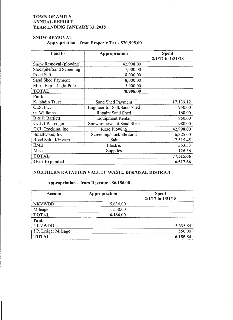# SNOW REMOVAL:

# Appropriation - from Property Tax - \$70,998.00

| Paid to                         | Appropriation               | <b>Spent</b><br>2/1/17 to 1/31/18 |  |
|---------------------------------|-----------------------------|-----------------------------------|--|
| Snow Removal (plowing)          | 42,998.00                   |                                   |  |
| <b>Stockpile/Sand Screening</b> | 7,000.00                    |                                   |  |
| Road Salt                       | 8,000.00                    |                                   |  |
| Sand Shed Payment               | 8,000.00                    |                                   |  |
| Misc. Exp - Light Pole          | 5,000.00                    |                                   |  |
| <b>TOTAL</b>                    | 70,998.00                   |                                   |  |
| Paid:                           |                             |                                   |  |
| Katahdin Trust                  | Sand Shed Payment           | 17,139.12                         |  |
| CES. Inc.                       | Engineer for Salt/Sand Shed | 950.00                            |  |
| G. Williams                     | Repairs Sand Shed           | 168.00                            |  |
| <b>B</b> & R Bartlett           | <b>Equipment Rental</b>     | 960.00                            |  |
| GCL/J.P. Ledger                 | Snow removal at Sand Shed   | 980.00                            |  |
| GCL Trucking, Inc.              | Road Plowing                | 42,998.00                         |  |
| Smallwood, Inc.                 | Screening/stockpile sand    | 6,325.00                          |  |
| Road Salt-Kingsco               | Salt                        | 7,515.45                          |  |
| EME                             | Electric                    | 353.53                            |  |
| Misc.                           | Supplies                    | 126.56                            |  |
| <b>TOTAL</b>                    |                             | 77,515.66                         |  |
| <b>Over Expended</b>            |                             | 6,517.66                          |  |

### NORTHERN KATAHDIN VALLEY WASTE DISPOSAL DISTRICT:

# Appropriation - from Revenue - \$6,186.00

| <b>Account</b>      | Appropriation | <b>Spent</b><br>2/1/17 to 1/31/18 |
|---------------------|---------------|-----------------------------------|
| <b>NKVWDD</b>       | 5,636.00      |                                   |
| Mileage             | 550.00        |                                   |
| <b>TOTAL</b>        | 6,186.00      |                                   |
| Paid:               |               |                                   |
| <b>NKVWDD</b>       |               | 5,635.84                          |
| J P. Ledger Mileage |               | 550.00                            |
| <b>TOTAL</b>        |               | 6,185.84                          |

-...\_ --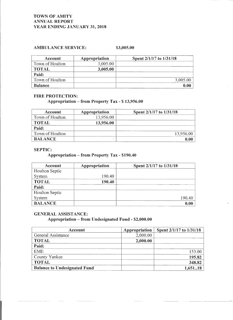# AMBULANCE SERVICE:

# \$3,005.00

| <b>Account</b>  | Appropriation | Spent 2/1/17 to 1/31/18 |
|-----------------|---------------|-------------------------|
| Town of Houlton | 3,005.00      |                         |
| <b>TOTAL</b>    | 3,005.00      |                         |
| Paid:           |               |                         |
| Town of Houlton |               | 3,005.00                |
| <b>Balance</b>  |               |                         |

#### FIRE PROTECTION:

# Appropriation - from Property Tax- \$ 13,956.00

| Account         | Appropriation | Spent 2/1/17 to 1/31/18 |
|-----------------|---------------|-------------------------|
| Town of Houlton | 13,956.00     |                         |
| <b>TOTAL</b>    | 13,956.00     |                         |
| Paid:           |               |                         |
| Town of Houlton |               | 13,956.00               |
| <b>BALANCE</b>  |               |                         |

#### SEPTIC:

## Appropriation- from Property Tax - \$190.40

| <b>Account</b> | Appropriation | Spent 2/1/17 to 1/31/18 |
|----------------|---------------|-------------------------|
| Houlton Septic |               |                         |
| <b>System</b>  | 190.40        |                         |
| <b>TOTAL</b>   | 190.40        |                         |
| Paid:          |               |                         |
| Houlton Septic |               |                         |
| <b>System</b>  |               | 190.40                  |
| <b>BALANCE</b> |               | 0.00                    |

#### GENERAL ASSISTANCE:

# Appropriation- from Undesignated Fund - \$2,000.00

| <b>Account</b>                      | Appropriation | Spent 2/1/17 to 1/31/18 |
|-------------------------------------|---------------|-------------------------|
| General Assistance                  | 2,000.00      |                         |
| <b>TOTAL</b>                        | 2,000.00      |                         |
| Paid:                               |               |                         |
| <b>EME</b>                          |               | 153.00                  |
| County Yankee                       |               | 195.82                  |
| <b>TOTAL</b>                        |               | 348.82                  |
| <b>Balance to Undesignated Fund</b> |               | 1,65118                 |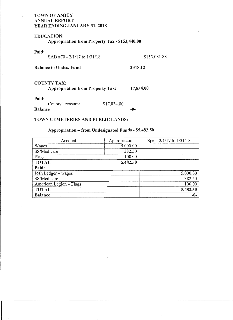# EDUCATION:

Appropriation from Property Tax - \$153,440.00

| SAD #70 - $2/1/17$ to $1/31/18$         | \$153,081.88 |
|-----------------------------------------|--------------|
|                                         | \$318.12     |
| <b>Appropriation from Property Tax:</b> | 17,834.00    |
| \$17,834.00                             | -0-          |
|                                         |              |

## TOWN CEMETERIES AND PUBLIC LANDS:

# Appropriation - from Undesignated Funds - \$5,482.50

| Account                 | Appropriation | Spent 2/1/17 to 1/31/18 |
|-------------------------|---------------|-------------------------|
| Wages                   | 5,000.00      |                         |
| SS/Medicare             | 382.50        |                         |
| Flags                   | 100.00        |                         |
| <b>TOTAL</b>            | 5,482.50      |                         |
| Paid:                   |               |                         |
| Josh Ledger - wages     |               | 5,000.00                |
| SS/Medicare             |               | 382.50                  |
| American Legion - Flags |               | 100.00                  |
| <b>TOTAL</b>            |               | 5,482.50                |
| <b>Balance</b>          |               | $-0-$                   |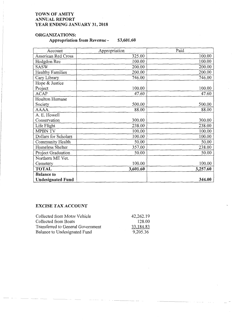# **ORGANIZATIONS:**

# **Appropriation from Revenue** - **\$3,601.60**

| Account                  | Appropriation | Paid     |
|--------------------------|---------------|----------|
| American Red Cross       | 325.00        | 100.00   |
| Hodgdon Rec              | 100.00        | 100.00   |
| <b>SASW</b>              | 200.00        | 200.00   |
| <b>Healthy Families</b>  | 200.00        | 200.00   |
| Cary Library             | 746.00        | 746.00   |
| Hope & Justice           |               |          |
| Project                  | 100.00        | 100.00   |
| <b>ACAP</b>              | 47.60         | 47.60    |
| Houlton Humane           |               |          |
| Society                  | 500.00        | 500.00   |
| <b>AAAA</b>              | 88.00         | 88.00    |
| A. E. Howell             |               |          |
| Conservation             | 300.00        | 300.00   |
| Life Flight              | 238.00        | 238.00   |
| <b>MPBN TV</b>           | 100.00        | 100.00   |
| Dollars for Scholars     | 100.00        | 100.00   |
| Community Health         | 50.00         | 50.00    |
| Homeless Shelter         | 357.00        | 238.00   |
| Project Graduation       | 50.00         | 50.00    |
| Northern ME Vet.         |               |          |
| Cemetery                 | 100.00        | 100.00   |
| <b>TOTAL</b>             | 3,601.60      | 3,257.60 |
| <b>Balance to</b>        |               |          |
| <b>Undesignated Fund</b> |               | 344.00   |

# **EXCISE TAX ACCOUNT**

| Collected from Motor Vehicle      | 42,262.19 |
|-----------------------------------|-----------|
| Collected from Boats              | 128.00    |
| Transferred to General Government | 33,184.83 |
| Balance to Undesignated Fund      | 9,205.36  |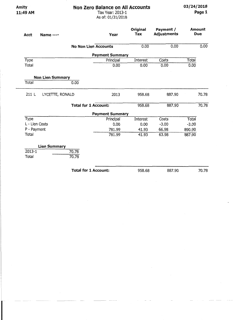--- -

**11:49 AM** Tax Year: 2013-1 **Page 1**  As of: 01/31/2018

| <b>Acct</b>                                           | <b>Name ----</b>             | Year                        | Original<br>Tax | Payment /<br><b>Adjustments</b> |         | Amount<br><b>Due</b> |
|-------------------------------------------------------|------------------------------|-----------------------------|-----------------|---------------------------------|---------|----------------------|
|                                                       |                              | <b>No Non Lien Accounts</b> | 0.00            | 0.00                            |         | 0.00                 |
|                                                       |                              | <b>Payment Summary</b>      |                 |                                 |         |                      |
| Type                                                  |                              | Principal                   | Interest        | Costs                           | Total   |                      |
| Total                                                 |                              | 0.00                        | 0.00            | 0.00                            | 0.00    |                      |
|                                                       | <b>Non Lien Summary</b>      |                             |                 |                                 |         |                      |
| Total                                                 | 0.00                         |                             |                 |                                 |         |                      |
| 211L                                                  | LYCETTE, RONALD              | 2013                        | 958.68          | 887.90                          |         | 70.78                |
|                                                       |                              |                             |                 |                                 |         |                      |
|                                                       |                              | <b>Total for 1 Account:</b> | 958.68          | 887.90                          |         |                      |
|                                                       |                              | <b>Payment Summary</b>      |                 |                                 |         |                      |
|                                                       |                              | Principal                   | <b>Interest</b> | Costs                           | Total   |                      |
|                                                       |                              | 0.00                        | 0.00            | $-3.00$                         | $-3.00$ |                      |
|                                                       |                              | 781.99                      | 41.93           | 66.98                           | 890,90  |                      |
| <b>Type</b><br>L - Lien Costs<br>P - Payment<br>Total |                              | 781.99                      | 41.93           | 63.98                           | 887.90  | 70.78                |
|                                                       |                              |                             |                 |                                 |         |                      |
|                                                       | <b>Lien Summary</b><br>70.78 |                             |                 |                                 |         |                      |
| $2013 - 1$<br>Total                                   | 70.78                        |                             |                 |                                 |         |                      |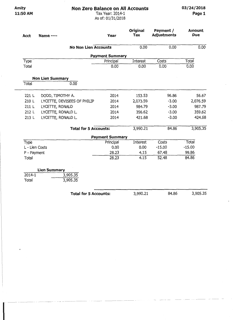**ll:SOAM** Tax Year: 2014-1 **Page 1**  As of: 01/31/2018

| <b>Acct</b>    | <b>Name ----</b>             | <b>Year</b>            | Original<br><b>Tax</b> | Payment /<br><b>Adjustments</b> | <b>Amount</b><br><b>Due</b> |
|----------------|------------------------------|------------------------|------------------------|---------------------------------|-----------------------------|
|                | <b>No Non Lien Accounts</b>  |                        | 0.00                   | 0.00                            | 0.00                        |
|                |                              | <b>Payment Summary</b> |                        |                                 |                             |
| Type           |                              | Principal              | Interest               | Costs                           | Total                       |
| Total          |                              | 0.00                   | 0.00                   | 0.00                            | 0.00                        |
|                | <b>Non Lien Summary</b>      |                        |                        |                                 |                             |
| <b>Total</b>   | 0.00                         |                        |                        |                                 |                             |
| 221 L          | DODD, TIMOTHY A.             | 2014                   | 153.53                 | 96.86                           | 56.67                       |
| 210 L          | LYCETTE, DEVISEES OF PHILIP  | 2014                   | 2,073.59               | $-3.00$                         | 2,076.59                    |
| 211 L          | LYCETTE, RONALD              | 2014                   | 984,79                 | $-3.00$                         | 987.79                      |
| 212 L          | LYCETTE, RONALD L.           | 2014                   | 356.62                 | $-3.00$                         | 359.62                      |
| 213 L          | LYCETTE, RONALD L.           | 2014                   | 421.68                 | $-3.00$                         | 424.68                      |
|                | <b>Total for 5 Accounts:</b> |                        | 3,990.21               | 84.86                           | 3,905.35                    |
|                |                              | <b>Payment Summary</b> |                        |                                 |                             |
| Type           |                              | Principal              | Interest               | Costs                           | ' Total                     |
| L - Lien Costs |                              | 0.00                   | 0.00                   | $-15.00$                        | $-15.00$                    |
| P - Payment    |                              | 28.23                  | 4.15                   | 67.48                           | 99.86                       |
| Total          |                              | 28.23                  | 4.15                   | 52.48                           | 84.86                       |
|                | <b>Lien Summary</b>          |                        |                        |                                 |                             |
| $2014 - 1$     | 3,905.35                     |                        |                        |                                 |                             |
| Total          | 3,905.35                     |                        |                        |                                 |                             |
|                | <b>Total for 5 Accounts:</b> |                        | 3,990.21               | 84.86                           | 3,905.35                    |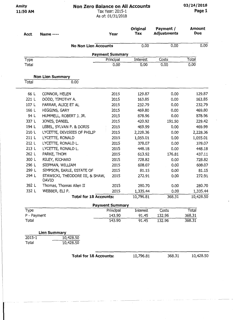**11:50 AM** Tax Year: 2015-1 **Page 1** 

As of: 01/31/2018

| Acct        | <b>Name ----</b>                         | <b>Year</b>            | Original<br>Tax | Payment /<br><b>Adjustments</b> | Amount<br><b>Due</b> |
|-------------|------------------------------------------|------------------------|-----------------|---------------------------------|----------------------|
|             | <b>No Non Lien Accounts</b>              |                        | 0.00            | 0.00                            | 0.00                 |
|             |                                          | <b>Payment Summary</b> |                 |                                 |                      |
| Type        |                                          | Principal              | Interest        | Costs                           | Total                |
| Total       |                                          | 0.00                   | 0.00            | 0.00                            | 0.00                 |
|             | <b>Non Lien Summary</b>                  |                        |                 |                                 |                      |
| Total       | 0.00                                     |                        |                 |                                 |                      |
| 66 L        | CONNOR, HELEN                            | 2015                   | 129.87          | 0.00                            | 129.87               |
| 221 L       | DODD, TIMOTHY A.                         | 2015                   | 163.85          | 0.00                            | 163.85               |
| 107 L       | FARRAR, ALICE ET AL                      | 2015                   | 232.79          | 0.00                            | 232.79               |
| 166 L       | HIGGINS, GARY                            | 2015                   | 469.80          | 0.00                            | 469.80               |
| 94 L        | HUMMELL, ROBERT J. JR.                   | 2015                   | 878.96          | 0.00                            | 878.96               |
| 337 L       | JONES, DANIEL                            | 2015                   | 420.92          | 191.50                          | 229.42               |
| 194 L       | LEBEL, SYLVAN P. & DORIS                 | 2015                   | 469.99          | 0,00                            | 469.99               |
| 210 L       | LYCETTE, DEVISEES OF PHILIP              | 2015                   | 2,228.36        | 0.00                            | 2,228.36             |
| 211 L       | LYCETTE, RONALD                          | 2015                   | 1,055.01        | 0.00                            | 1,055.01             |
| 212 L       | LYCETTE, RONALD L.                       | 2015                   | 378.07          | 0.00                            | 378.07               |
| 213 L       | LYCETTE, RONALD L.                       | 2015                   | 448.18          | 0.00                            | 448.18               |
| 262 L       | PARKE, THOM                              | 2015                   | 613.92          | 176.81                          | 437.11               |
| 300 L       | RILEY, RICHARD                           | 2015                   | 728.82          | 0.00                            | 728.82               |
| 296 L       | SIEPMAN, WILLIAM                         | 2015                   | 608.07          | 0.00                            | 608.07               |
| 299 L       | SIMPSON, EARLE, ESTATE OF                | 2015                   | 81.15           | 0.00                            | 81.15                |
| 294 L       | STAWICKI, THEODORE III, & SHAW,<br>DAVID | 2015                   | 272.91          | 0.00                            | 272.91               |
| 392 L       | Thomas, Thomas Allen II                  | 2015                   | 280.70          | 0.00                            | 280.70               |
| 332 L       | WEBBER, ELI P.                           | 2015                   | 1,335.44        | 0.00                            | 1,335.44             |
|             | <b>Total for 18 Accounts:</b>            |                        | 10,796.81       | 368.31                          | 10,428.50            |
|             |                                          | <b>Payment Summary</b> |                 |                                 |                      |
| Type        |                                          | Principal              | Interest        | Costs                           | Total                |
| P - Payment |                                          | 143.90                 | 91.45           | 132.96                          | 368.31               |
| Total       |                                          | 143,90                 | 91.45           | 132.96                          | 368.31               |
|             | <b>Lien Summary</b>                      |                        |                 |                                 |                      |
| 2015-1      | 10,428.50                                |                        |                 |                                 |                      |
| Total       | 10,428.50                                |                        |                 |                                 |                      |
|             | <b>Total for 18 Accounts:</b>            |                        | 10,796.81       | 368.31                          | 10,428.50            |

----- ----------------------------------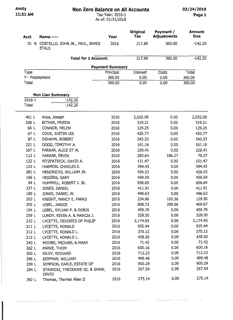#### **11:51AM** Tax Year: 2016-1 **Pagel**  As of: 01/31/2018

|             |                                                   |                        | <b>Original</b>  | Payment /          | <b>Amount</b>   |
|-------------|---------------------------------------------------|------------------------|------------------|--------------------|-----------------|
| <b>Acct</b> | Name ----                                         | Year                   | Tax              | <b>Adjustments</b> | <b>Due</b>      |
| 70          | R COSTELLO, JOHN JR., PAUL, JAMES<br><b>ETALS</b> | 2016                   | 217.80           | 360.00             | $-142.20$       |
|             | <b>Total for 1 Account:</b>                       |                        | 217.80           | 360.00             | $-142.20$       |
|             |                                                   | <b>Payment Summary</b> |                  |                    |                 |
| Type        |                                                   | Principal              | Interest         | Costs              | Total           |
|             | Y - Prepayment                                    | 360.00                 | 0.00             | 0.00               | 360.00          |
| Total       |                                                   | 360.00                 | 0.00             | 0.00               | 360.00          |
|             | <b>Non Lien Summary</b>                           |                        |                  |                    |                 |
| 2016-1      | $-142.20$                                         |                        |                  |                    |                 |
| Total       | $-142.20$                                         |                        |                  |                    |                 |
| 401 L       | Ariza, Joseph                                     | 2016                   | 2,032.08         | 0.00               | 2,032.08        |
| 338 L       | BITHER, FRIEDA                                    | 2016                   | 319.21           | 0.00               | 319.21          |
| 66 L        | CONNOR, HELEN                                     | 2016                   | 129.25           | 0.00               | 129.25          |
| 67 L        | COOK, JUSTIN LEE                                  | 2016                   | 420.77           | 0.00               | 420.77          |
| 87 L        | DEHAHN, ROBERT                                    | 2016                   | 343.33           | 0.00               | 343.33          |
| 221 L       | DODD, TIMOTHY A.                                  | 2016                   | 161.16           | 0.00               | 161.16          |
| 107 L       | FARRAR, ALICE ET AL                               | 2016                   | 228.41           | 0.00               | 228.41          |
| 112 L       | FARRAR, ERVIN                                     | 2016                   | 265.64           | 186.27             | 79.37           |
| 122 L       | FITZPATRICK, DAVID A.                             | 2016                   | 151.47           | 0.00               | 151.47          |
| 123 L       | HARMON, CHARLES E.                                | 2016                   | 394.43           | 0.00               | 394.43          |
| 381 L       | HENDRICKS, WILLIAM JR.                            | 2016                   | 426.53           | 0.00               | 426.53          |
| 166 L       | HIGGINS, GARY                                     | 2016                   | 459.59           | 0.00               | 459.59          |
| 94 L        | HUMMELL, ROBERT J. JR.                            | 2016                   | 858.69           | 0.00               | 858.69          |
| 337 L       | JONES, DANIEL                                     | 2016                   | 411.91           | 0.00               | 411.91          |
| 180 L       | JONES, DANIEL W.                                  | 2016                   | 496.63           | 0.00               | 496.63          |
| 263 L       | KNIGHT, NANCY E. PARKS                            | 2016                   | 234.86           | 105.36             | 129.50          |
| 355 L       | LEBEL, JANICE                                     | 2016                   | 808.73           | 399.06             | 409.67          |
| 194 L       | LEBEL, SYLVAN P. & DORIS                          | 2016                   | 459.78           | 0.00               | 459.78          |
| 259 L       | LUNDY, KEVIN A. & MARCIA J.                       | 2016                   | 328.50           | 0.00               | 328.50          |
| 210 L       | LYCETTE, DEVISEES OF PHILIP                       | 2016                   | 2,174.93         | 0.00               | 2,174.93        |
| 211 L       | LYCETTE, RONALD                                   | 2016                   | 935.44           | 0.00               | 935.44          |
| 212 L       | LYCETTE, RONALD L.                                | 2016                   | 370.12           | 0.00               | 370.12          |
| 213 L       | LYCETTE, RONALD L.                                | 2016                   | 438.50           | 0.00               | 438.50          |
| 243 L       | MOORE, MICHAEL & MARY                             | 2016                   | 71.42            | 0.00               | 71.42<br>600.16 |
| 262 L       | PARKE, THOM                                       | 2016                   | 600.16           | 0.00<br>0.00       | 712.23          |
| 300 L       | RILEY, RICHARD                                    | 2016                   | 712.23<br>499.48 | 0.00               | 499.48          |
| 296 L       | SIEPMAN, WILLIAM                                  | 2016<br>2016           | 900.29           | 0.00               | 900.29          |
| 299 L       | SIMPSON, EARLE, ESTATE OF                         | 2016                   | 267.54           | 0.00               | 267.54          |
| 294 L       | STAWICKI, THEODORE III, & SHAW,<br><b>DAVID</b>   |                        |                  |                    |                 |
| 392 L       | Thomas, Thomas Allen II                           | 2016                   | 275.14           | 0.00               | 275.14          |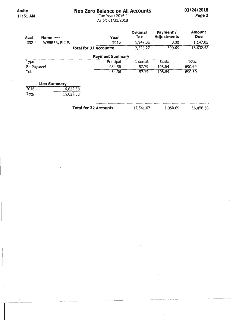# Non Zero Balance on All Accounts

Amity 11:51AM

# Tax Year: 2016-1 As of: 01/31/2018

03/24/2018 Page 2

| Acct        | Name ----           | Year                          | Original<br>Tax | Payment /<br><b>Adjustments</b> | <b>Amount</b><br><b>Due</b> |
|-------------|---------------------|-------------------------------|-----------------|---------------------------------|-----------------------------|
| 332 L       | WEBBER, ELI P.      | 2016                          | 1,147.05        | 0.00                            | 1,147.05                    |
|             |                     | <b>Total for 31 Accounts:</b> | 17,323.27       | 690.69                          | 16,632.58                   |
|             |                     | <b>Payment Summary</b>        |                 |                                 |                             |
| Type        |                     | Principal                     | Interest        | Costs                           | Total                       |
| P - Payment |                     | 434.36                        | 57.79           | 198.54                          | 690.69                      |
| Total       |                     | 434.36                        | 57.79           | 198.54                          | 690.69                      |
|             | <b>Lien Summary</b> |                               |                 |                                 |                             |
| 2016-1      | 16,632.58           |                               |                 |                                 |                             |
| Total       | 16,632.58           |                               |                 |                                 |                             |

Total for 32 Accounts: 17,541.07

1,050.69

16,490.38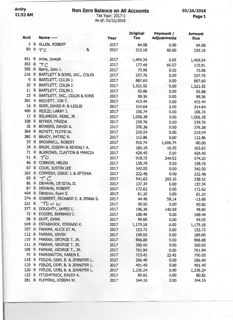## **11:52AM** Tax Year: 2017-1 **Page 1**  As of: 01/31/2018

| Acct  |              | <b>Name ----</b>                     | Year | Original<br><b>Tax</b> | Payment /<br><b>Adjustments</b> | <b>Amount</b><br><b>Due</b> |
|-------|--------------|--------------------------------------|------|------------------------|---------------------------------|-----------------------------|
| 3     |              | R ALLEN, ROBERT                      | 2017 | 64.08                  | 0.00                            | 64.08                       |
| 90    |              | $R + C$<br>&                         | 2017 | 315.18                 | 80.00                           | 235.18                      |
| 401   | R            | Ariza, Joseph                        | 2017 | 1,469.34               | 0.00                            |                             |
| 363   | R            | TC                                   | 2017 | 177.48                 |                                 | 1,469.34                    |
| 395   | R            | Barry, John J.                       | 2017 | 75.96                  | 66.57                           | 110.91                      |
| 216   |              | R BARTLETT & SONS, INC., COLIN       | 2017 |                        | 0.00                            | 75.96                       |
| 9     |              | R BARTLETT, COLIN J.                 |      | 257.76                 | 0.00                            | 257.76                      |
| 10    |              | R BARTLETT, COLIN J.                 | 2017 | 867.60                 | 0.00                            | 867.60                      |
|       |              |                                      | 2017 | 1,321.92               | 0.00                            | 1,321.92                    |
| 11    | R            | BARTLETT, COLIN J.                   | 2017 | 83.88                  | 0.00                            | 83.88                       |
| 15    | R            | BARTLETT, INC., COLIN & SONS         | 2017 | 99.36                  | 0.00                            | 99.36                       |
|       |              | 361 R BECKETT, JON T.                | 2017 | 415.44                 | 0.00                            | 415.44                      |
| 16    | $\mathsf{R}$ | BEER, DAVID P. & LESLIE              | 2017 | 314.64                 | 0.00                            | 314.64                      |
| 400   |              | R BEJCZI, LARRY J.                   | 2017 | 106.74                 | 0.00                            | 106.74                      |
| 17 R  |              | BELANGER, RENE, JR                   | 2017 | 1,006.38               | 0.00                            | 1,006.38                    |
|       |              | 338 R BITHER, FRIEDA                 | 2017 | 239.76                 | 0.00                            | 239.76                      |
| 26    |              | R BOWERS, DAVID A.                   | 2017 | 376.38                 | 0.00                            | 376.38                      |
| 364 R |              | BOYETT, FLOYD W.                     | 2017 | 219.24                 | 0.00                            | 219.24                      |
| 380   | R            | BRADY, PATRIC R.                     | 2017 | 112.86                 | 0.00                            | 112.86                      |
| 33    |              | R BROWNELL, ROBERT                   | 2017 | 916.74                 | 1,006.74                        | $-90.00$                    |
| 34 R  |              | BRUM, JOSEPH & BEVERLY A.            | 2017 | 180.18                 | 16.55                           | 163.63                      |
|       |              | 71 R BURROWS, CLAYTON & MARCIA       | 2017 | 428.40                 | 0.00                            | 428.40                      |
| 51    |              | R.7C                                 | 2017 | 918.72                 | 344.52                          | 574.20                      |
| 66    |              | R CONNOR, HELEN                      | 2017 | 158.76                 | 0.00                            | 158.76                      |
| 67    |              | R COOK, JUSTIN LEE                   | 2017 | 342.00                 | 0.00                            | 342.00                      |
| 163   | R            | CORMIER, DERIC J. & EFTIHIA          | 2017 | 222.48                 | 0.00                            | 222.48                      |
| 83    | $\mathsf{R}$ | TC                                   | 2017 | 541.62                 | 203.10                          | 338.52                      |
| 86    |              | R DEHAHN, CRYSTAL D.                 | 2017 | 137.34                 | 0.00                            | 137.34                      |
| 87    |              | R DEHAHN, ROBERT                     | 2017 | 172.62                 | 0.00                            | 172.62                      |
| 404   | $\mathsf{R}$ | Dimitrov, Ryan S.                    | 2017 | 61.20                  | 0.00                            | 61.20                       |
|       |              | 374 R DOBBERT, RICHARD E. & JENNA S. | 2017 | 44.46                  | 58.14                           | $-13.68$                    |
| 221 R |              | $T^{\circ}$ $\omega$ $\sim$          | 2017 | 90.00                  | 0.00                            | 90.00                       |
| 377   | $\mathsf{R}$ | DOUGHTY, JAMES C.                    | 2017 | 196.38                 | 146.58                          | 49.80                       |
| 72 R  |              | DOZIER, BERNARD I.                   | 2017 | 188.46                 | 0.00                            | 188.46                      |
|       |              | 98 R DUFF, DANA                      | 2017 | 99.00                  | 0.00                            | 99.00                       |
|       |              | 104 R ESTABROOK, EDWARD K.           | 2017 | 1,179.18               | 0.00                            | 1,179.18                    |
|       |              | 107 R FARRAR, ALICE ET AL            | 2017 | 153.72                 | 0.00                            | 153.72                      |
| 112 R |              | FARRAR, ERVIN                        | 2017 | 189.00                 | 0.00                            | 189.00                      |
| 110   |              | R FARRAR, GEORGE T. JR.              | 2017 | 866.88                 | 0.00                            | 866.88                      |
|       |              | 111 R FARRAR, GEORGE T. JR.          | 2017 | 360.00                 | 0.00                            | 360.00                      |
|       |              | 109 R FARRAR, GEORGE T., JR.         | 2017 | 761.94                 | 0.00                            | 761.94                      |
|       |              | 76 R FARRINGTON, KAREN E.            | 2017 | 723.42                 | 23.42                           | 700.00                      |
| 118 R |              | FIELDS, ODEL B. & JENNIFER L.        | 2017 | 266.40                 | 0.00                            | 266.40                      |
|       |              | 119 R FIELDS, ODEL B. & JENNIFER L.  | 2017 | 401.40                 | 0.00                            | 401.40                      |
|       |              | 120 R FIELDS, ODEL B. & JENNIFER L.  | 2017 | 1,236.24               | 0.00                            | 1,236.24                    |
|       |              | 122 R FITZPATRICK, DAVID A.          | 2017 | 80.82                  | 0.00                            | 80.82                       |
|       |              | 381 R FLEMING, JOSEPH W.             | 2017 | 344.16                 | 0.00                            | 344.16                      |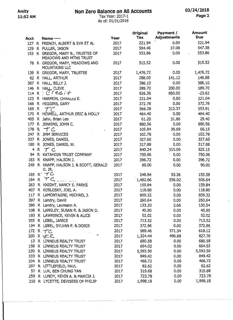# Amity **Non Zero Balance on All Accounts 11:52 AM 11:52 AM 11:52 AM Page 2**

# **11:52AM** Tax Year: 2017-1 **Page2**  As of: 01/31/2018

|--|--|

|           |              |                                                             |              | Original        | Payment /          | Amount          |
|-----------|--------------|-------------------------------------------------------------|--------------|-----------------|--------------------|-----------------|
| Acct      |              | Name ----                                                   | <b>Year</b>  | Tax             | <b>Adjustments</b> | Due             |
|           |              | 127 R FRENCH, ALBERT & EVA ET AL                            | 2017         | 221.94          | 0.00               | 221.94          |
|           |              | 129 R FULLER, JASON                                         | 2017         | 584.46          | 37.08              | 547.38          |
|           |              | 155 R GREGOR, MARY B., TRUSTEE OF<br>MEADOWS AND MTNS TRUST | 2017         | 553.86          | 0.00               | 553.86          |
|           |              | 78 R GREGOR, MARY, MEADOWS AND<br>MOUNTAINS LLC             | 2017         | 515.52          | 0.00               | 515.52          |
|           |              | 139 R GREGOR, MARY, TRUSTEE                                 | 2017         | 1,476.72        | 0.00               | 1,476.72        |
|           |              | 62 R HALL, ARTHUR                                           | 2017         | 288,00          | 141.12             | 146.88          |
| 387       |              | R HALL, BILLY J.                                            | 2017         | 386.10          | 0.00               | 386.10          |
| 146       |              | R HALL, CLEVE                                               | 2017         | 389.70          | 200.00             | 189.70          |
| 114       | $\mathsf{R}$ | $Cred +$                                                    | 2017         | 826.38          | 850.00             | $-23.62$        |
|           |              | 123 R HARMON, CHARLES E.                                    | 2017         | 221.04          | 0.00               | 221.04          |
|           |              | 166 R HIGGINS, GARY                                         | 2017         | 372.78          | 0.00               | 372.78          |
| 169 R     |              | $\mathcal{T}$ ( $\dot{\mathcal{C}}$                         | 2017         | 566.28          | 212.37             | 353.91          |
| 170       | R            | HOWELL, ARTHUR ERIC & HOLLY                                 | 2017         | 464.40          | 0.00               | 464,40          |
| 405 R     |              | Jahn, Brian Lee                                             | 2017         | 61.20           | 31.80              | 29.40           |
|           |              | 177 R JENKINS, JOHN C.                                      | 2017         | 880.56          | 0.00               | 880.56          |
| 178       | R,           | $+ c$                                                       | 2017         | 105.84          | 39.69              | 66.15           |
| 247       |              | R JMM SERVICES                                              | 2017         | 102.78          | 0.00               | 102.78          |
| 337       |              | R JONES, DANIEL                                             | 2017         | 327.60          | 0.00               | 327.60          |
| 180       |              | R JONES, DANIEL W.                                          | 2017         | 317.88          | 0.00               | 317.88          |
| 4         | R            | $\mathcal{T} \subset$                                       | 2017         | 840.24          | 315.09             | 525.15          |
| 94        |              | R KATAHDIN TRUST COMPANY                                    | 2017         | 750.96          | 0.00               | 750.96          |
|           |              | 183 R KNAPP, HALSON J.                                      | 2017         | 396.72          | 0.00               | 396.72          |
|           |              | 249 R KNAPP, HALSON J. & SCOTT, GERALD                      | 2017         | 90.00           | 0.00               | 90.00           |
|           |              | D. JR.                                                      |              |                 |                    |                 |
|           |              | 185 R で<br>$\tau$ C                                         | 2017         | 248.94          | 93.36              | 155.58          |
| 184       | R            |                                                             | 2017         | 1,482.66        | 556.02             | 926.64          |
| 263       |              | R KNIGHT, NANCY E. PARKS                                    | 2017         | 159.84          | 0.00               | 159.84          |
|           |              | 407 R KOSLOSKY, JOEL A.                                     | 2017         | 118.80          | 0.00               | 118.80          |
| 117       |              | R LAMONTAGNE, MICHAEL J.                                    | 2017         | 859.32          | 0.00               | 859.32          |
| 397       |              | R Landry, David                                             | 2017         | 260.64          | 0.00               | 260.64          |
|           |              | 396 R Landry, Laureann A.                                   | 2017         | 133.20          | 2.66               | 130.54          |
| 108       |              | R LANGLEY, SUSAN R. & JASON D.                              | 2017         | 45.90           | 0.00               | 45.90           |
|           |              | 193 R LAWRENCE, KEVIN & ALICE                               | 2017         | 52.02           | 0.00               | 52.02           |
| 355       |              | R LEBEL, JANICE                                             | 2017         | 713.52          | 0.00               | 713.52          |
| 194       |              | R LEBEL, SYLVAN P. & DORIS                                  | 2017         | 372.96          | 0.00               | 372.96          |
| 172       |              | $R + C$                                                     | 2017         | 989.46          | 371.34             | 618.12          |
| 200       |              | $R \neq C$                                                  | 2017         | 1,324.44        | 496.68             | 827.76          |
| 13        |              | R LINNEUS REALTY TRUST                                      | 2017         | 680.58          | 0.00               | 680.58          |
| 158       |              | R LINNEUS REALTY TRUST                                      | 2017         | 664.02          | 0.00               | 664.02          |
| 220       |              | R LINNEUS REALTY TRUST                                      | 2017         | 5,593.50        | 0.00               | 5,593.50        |
| 333       |              | R LINNEUS REALTY TRUST                                      | 2017         | 849.42          | 0.00               | 849.42          |
|           |              | 334 R LINNEUS REALTY TRUST                                  | 2017         | 468.72          | 0.00               | 468.72<br>82.62 |
| 297<br>57 |              | R LITTLEFIELD, PAUL<br>R LUK, BEN CHUNG YAN                 | 2017         | 82.62<br>319.68 | 0.00<br>0.00       | 319.68          |
| 259       |              | R LUNDY, KEVIN A. & MARCIA J.                               | 2017<br>2017 | 723.78          | 0.00               | 723.78          |
| 210       |              | R LYCETTE, DEVISEES OF PHILIP                               | 2017         | 1,998.18        | 0.00               | 1,998.18        |
|           |              |                                                             |              |                 |                    |                 |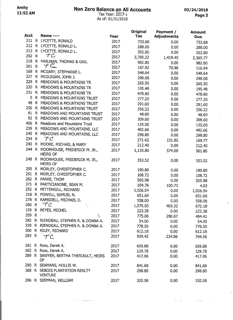# **Amity Non Zero** Balan~AII **Accounts 03/24/2018**

## **11:52AM** Tax Year: 20 . -1 **Page 3**  As of: 01/31/2018

/

-- - - ---------

| Acct  |                   | <b>Name ----</b>                                 |      | <b>Original</b> | Payment /          | <b>Amount</b> |
|-------|-------------------|--------------------------------------------------|------|-----------------|--------------------|---------------|
| 211   |                   | R LYCETTE, RONALD                                | Year | <b>Tax</b>      | <b>Adjustments</b> | <b>Due</b>    |
| 212   |                   | R LYCETTE, RONALD L.                             | 2017 | 733.68          | 0.00               | 733.68        |
| 213   |                   | R LYCETTE, RONALD L.                             | 2017 | 288.00          | 0.00               | 288.00        |
| 292   | $\mathsf{R}$      | ŤС                                               | 2017 | 352.80          | 0.00               | 352.80        |
| 218   | $\mathsf{R}$      |                                                  | 2017 | 3,785.22        | 1,419.45           | 2,365.77      |
| 261   | $\mathsf{R}$      | MAILMAN, THOMAS & GAIL<br>TC                     | 2017 | 982.80          | 0.00               | 982,80        |
| 168   |                   |                                                  | 2017 | 187.92          | 70.98              | 116.94        |
| 227   | R.                | MCGARY, STEPHANIE L.                             | 2017 | 548.64          | 0.00               | 548.64        |
| 229   |                   | R MCGUIGAN, JOHN J.                              | 2017 | 298.08          | 0.00               | 298.08        |
|       | R.                | MEADOWS & MOUNTAINS TR                           | 2017 | 265.50          | 0.00               | 265.50        |
| 230   | R.                | MEADOWS & MOUNTAINS TR                           | 2017 | 195.48          | 0.00               | 195.48        |
| 231   |                   | R MEADOWS & MOUNTAINS TR                         | 2017 | 478.80          | 0.00               | 478.80        |
| 5     | R.                | MEADOWS & MOUNTAINS TRUST                        | 2017 | 277.20          | 0.00               | 277.20        |
| 48    | R.                | MEADOWS & MOUNTAINS TRUST                        | 2017 | 291.60          | 0.00               | 291.60        |
| 256   |                   | R MEADOWS & MOUNTAINS TRUST                      | 2017 | 356.22          | 0.00               | 356.22        |
| 81    |                   | R MEADOWS AND MOUNTAINS TRUST                    | 2017 | 48.60           | 0.00               | 48.60         |
| 82    |                   | R MEADOWS AND MOUNTAINS TRUST                    | 2017 | 309.60          | 0.00               | 309.60        |
| 406   | R.                | Meadows and Mountains Trust                      | 2017 | 135.00          | 0.00               | 135.00        |
| 239   |                   | R MEADOWS AND MOUNTAINS, LLC                     | 2017 | 492.66          | 0.00               | 492.66        |
| 240   | R                 | MEADOWS AND MOUNTAINS, LLC                       | 2017 | 298.80          | 0.00               | 298.80        |
| 234   | R                 | $\mathcal{T} \mathcal{C}$                        | 2017 | 271.62          | 101.85             | 169.77        |
| 243   | R.                | MOORE, MICHAEL & MARY                            | 2017 | 212.40          | 0.00               | 212.40        |
| 244   | $R_{\perp}$       | MOORHOUSE, FREDERICK M. JR.,<br><b>HEIRS OF</b>  | 2017 | 1,135.80        | 574.00             | 561.80        |
| 248 R |                   | MOORHOUSE, FREDERICK M. JR.,<br><b>HEIRS OF</b>  | 2017 | 353.52          | 0.00               | 353.52        |
| 250   | R.                | MORLEY, CHRISTOPHER C.                           | 2017 | 190.80          | 0.00               | 190.80        |
| 251   |                   | R MORLEY, CHRISTOPHER C.                         | 2017 | 108.72          | 0.00               | 108.72        |
| 262   |                   | R PARKE, THOM                                    | 2017 | 505.98          | 0.00               | 505.98        |
| 371   |                   | R PARTICIANONE, SEAN M.                          | 2017 | 104.76          | 100.73             | 4.03          |
| 252   |                   | R PETTENGILL, RICHARD                            | 2017 | 1,026.54        | 0.00               | 1,026.54      |
| 318   |                   | R POWELL, SAMUEL N.                              | 2017 | 651.60          | 0.00               | 651.60        |
|       |                   | 278 R RAMSDELL, MICHAEL D.                       | 2017 | 558.00          | 0.00               | 558.00        |
| 280   | R.                | TC                                               | 2017 | 1,075.50        | 403.32             | 672.18        |
| 159   |                   | R REYES, MICHEL                                  | 2017 | 223.38          | 0.00               | 223.38        |
| 359   | $R$ $\rightarrow$ | E.                                               | 2017 | 775.08          | 290.67             | 484.41        |
| 282   |                   | R RIENDEAU, STEPHEN R. & DONNA A.                | 2017 | 54.00           | 0.00               | 54.00         |
| 339   |                   | R RIENDEAU, STEPHEN R. & DONNA A.                | 2017 | 778.50          | 0.00               | 778.50        |
|       |                   | 300 R RILEY, RICHARD                             | 2017 | 612.18          | 0.00               | 612.18        |
| 283 R |                   | TC                                               | 2017 | 939.42          | 234.86             | 704.56        |
|       |                   | 161 R Ross, Derek A.                             | 2017 | 659.88          | 0.00               | 659.88        |
| 162   |                   | R Ross, Derek A.                                 | 2017 | 129.78          | 0.00               | 129.78        |
|       |                   | 289 R SAWYER, BERTHA THERIAULT, HEIRS<br>OF      | 2017 | 417.06          | 0.00               | 417.06        |
|       |                   | 290 R SEAMANS, HOLLIS W.                         | 2017 | 841.68          | 0.00               | 841.68        |
|       |                   | 368 R SEBOIS PLANTATION REALTY<br><b>VENTURE</b> | 2017 | 298.80          | 0.00               | 298.80        |
|       |                   | 296 R SIEPMAN, WILLIAM                           | 2017 | 320.58          | 0.00               | 320.58        |